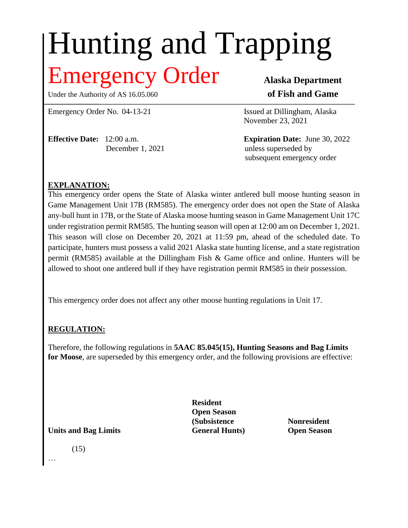# Hunting and Trapping

## **THEORY Order** Alaska Department

Under the Authority of AS 16.05.060 **of Fish and Game** 

Emergency Order No. 04-13-21 Issued at Dillingham, Alaska

**Effective Date:** 12:00 a.m. **Expiration Date:** June 30, 2022

November 23, 2021

December 1, 2021 unless superseded by subsequent emergency order

#### **EXPLANATION:**

This emergency order opens the State of Alaska winter antlered bull moose hunting season in Game Management Unit 17B (RM585). The emergency order does not open the State of Alaska any-bull hunt in 17B, or the State of Alaska moose hunting season in Game Management Unit 17C under registration permit RM585. The hunting season will open at 12:00 am on December 1, 2021. This season will close on December 20, 2021 at 11:59 pm, ahead of the scheduled date. To participate, hunters must possess a valid 2021 Alaska state hunting license, and a state registration permit (RM585) available at the Dillingham Fish & Game office and online. Hunters will be allowed to shoot one antlered bull if they have registration permit RM585 in their possession.

This emergency order does not affect any other moose hunting regulations in Unit 17.

### **REGULATION:**

Therefore, the following regulations in **5AAC 85.045(15), Hunting Seasons and Bag Limits for Moose**, are superseded by this emergency order, and the following provisions are effective:

> **Resident Open Season (Subsistence Nonresident**

**Units and Bag Limits General Hunts) Open Season**

(15) …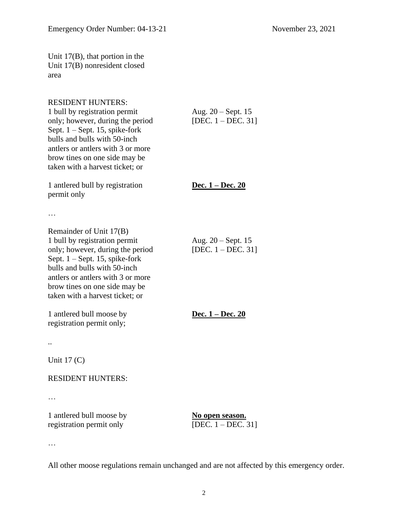Unit 17(B), that portion in the Unit 17(B) nonresident closed area

#### RESIDENT HUNTERS:

| 1 bull by registration permit<br>only; however, during the period<br>Sept. $1 -$ Sept. 15, spike-fork<br>bulls and bulls with 50-inch<br>antlers or antlers with 3 or more<br>brow tines on one side may be<br>taken with a harvest ticket; or                            | Aug. 20 - Sept. 15<br>[DEC. $1 - DEC. 31$ ]    |
|---------------------------------------------------------------------------------------------------------------------------------------------------------------------------------------------------------------------------------------------------------------------------|------------------------------------------------|
| 1 antlered bull by registration<br>permit only                                                                                                                                                                                                                            | <u>Dec. 1 – Dec. 20</u>                        |
| $\ddots$                                                                                                                                                                                                                                                                  |                                                |
| Remainder of Unit 17(B)<br>1 bull by registration permit<br>only; however, during the period<br>Sept. $1 -$ Sept. 15, spike-fork<br>bulls and bulls with 50-inch<br>antlers or antlers with 3 or more<br>brow tines on one side may be<br>taken with a harvest ticket; or | Aug. $20 - Sept. 15$<br>[DEC. $1 - DEC. 31$ ]  |
| 1 antlered bull moose by<br>registration permit only;                                                                                                                                                                                                                     | <u>Dec. 1 – Dec. 20</u>                        |
|                                                                                                                                                                                                                                                                           |                                                |
| Unit $17(C)$                                                                                                                                                                                                                                                              |                                                |
| <b>RESIDENT HUNTERS:</b>                                                                                                                                                                                                                                                  |                                                |
|                                                                                                                                                                                                                                                                           |                                                |
| 1 antlered bull moose by<br>registration permit only                                                                                                                                                                                                                      | <u>No open season.</u><br>[DEC. $1 - DEC.$ 31] |

…

All other moose regulations remain unchanged and are not affected by this emergency order.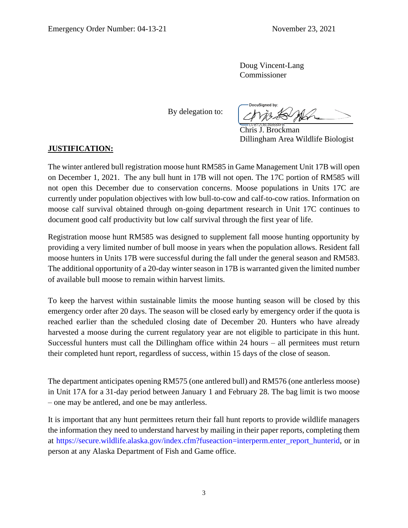Doug Vincent-Lang Commissioner

By delegation to:

**DocuSianed by:** 

Chris J. Brockman Dillingham Area Wildlife Biologist

#### **JUSTIFICATION:**

The winter antlered bull registration moose hunt RM585 in Game Management Unit 17B will open on December 1, 2021. The any bull hunt in 17B will not open. The 17C portion of RM585 will not open this December due to conservation concerns. Moose populations in Units 17C are currently under population objectives with low bull-to-cow and calf-to-cow ratios. Information on moose calf survival obtained through on-going department research in Unit 17C continues to document good calf productivity but low calf survival through the first year of life.

Registration moose hunt RM585 was designed to supplement fall moose hunting opportunity by providing a very limited number of bull moose in years when the population allows. Resident fall moose hunters in Units 17B were successful during the fall under the general season and RM583. The additional opportunity of a 20-day winter season in 17B is warranted given the limited number of available bull moose to remain within harvest limits.

To keep the harvest within sustainable limits the moose hunting season will be closed by this emergency order after 20 days. The season will be closed early by emergency order if the quota is reached earlier than the scheduled closing date of December 20. Hunters who have already harvested a moose during the current regulatory year are not eligible to participate in this hunt. Successful hunters must call the Dillingham office within 24 hours – all permitees must return their completed hunt report, regardless of success, within 15 days of the close of season.

The department anticipates opening RM575 (one antlered bull) and RM576 (one antlerless moose) in Unit 17A for a 31-day period between January 1 and February 28. The bag limit is two moose – one may be antlered, and one be may antlerless.

It is important that any hunt permittees return their fall hunt reports to provide wildlife managers the information they need to understand harvest by mailing in their paper reports, completing them at https://secure.wildlife.alaska.gov/index.cfm?fuseaction=interperm.enter\_report\_hunterid, or in person at any Alaska Department of Fish and Game office.